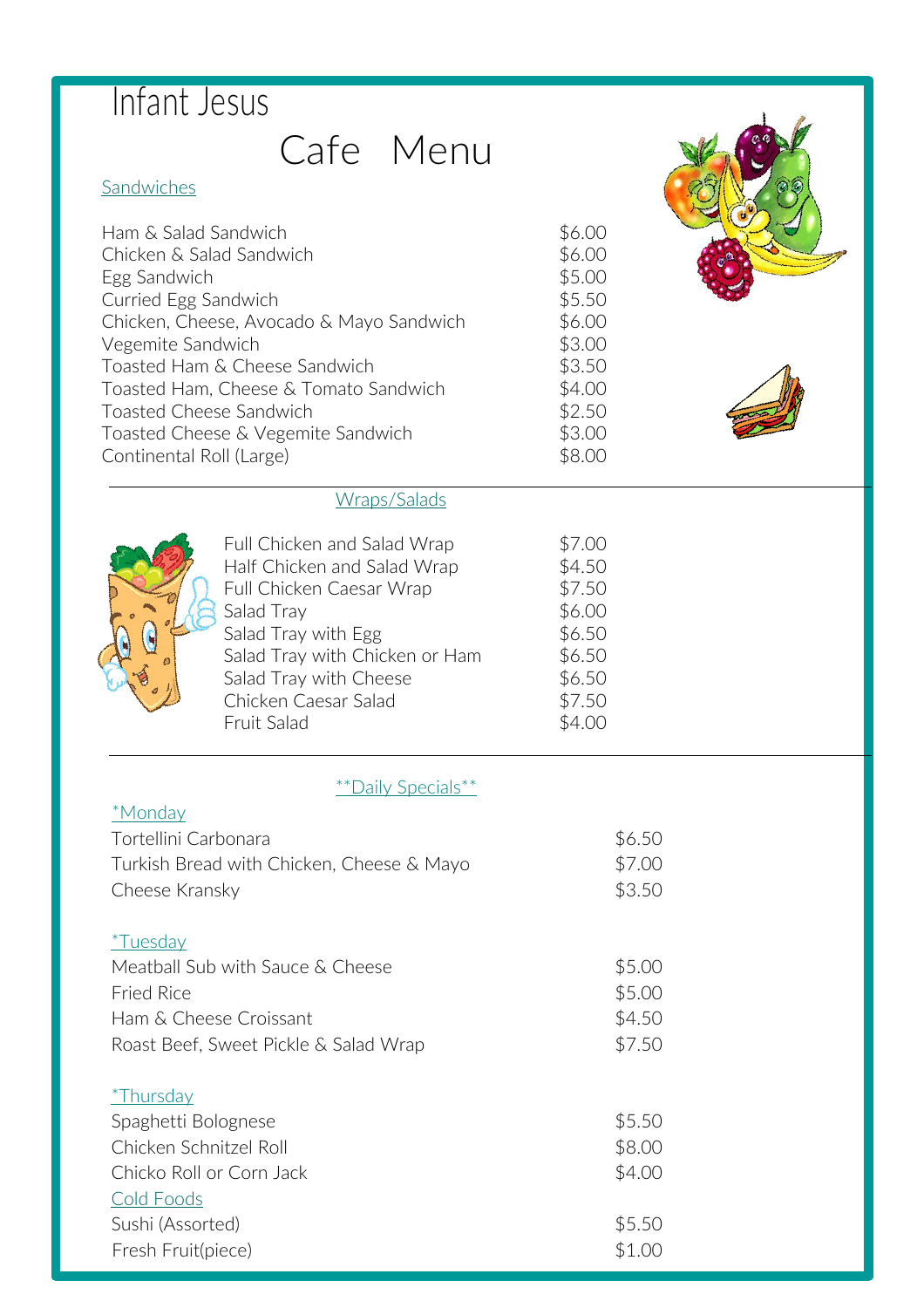## Cafe Menu

#### **Sandwiches**

| Ham & Salad Sandwich                     | \$6.00 |  |
|------------------------------------------|--------|--|
| Chicken & Salad Sandwich                 | \$6.00 |  |
| Egg Sandwich                             | \$5.00 |  |
| Curried Egg Sandwich                     | \$5.50 |  |
| Chicken, Cheese, Avocado & Mayo Sandwich | \$6.00 |  |
| Vegemite Sandwich                        | \$3.00 |  |
| Toasted Ham & Cheese Sandwich            | \$3.50 |  |
| Toasted Ham, Cheese & Tomato Sandwich    | \$4.00 |  |
| Toasted Cheese Sandwich                  | \$2.50 |  |
| Toasted Cheese & Vegemite Sandwich       | \$3.00 |  |
| Continental Roll (Large)                 | \$8.00 |  |
|                                          |        |  |

#### Wraps/Salads



Full Chicken and Salad Wrap \$7.00 Half Chicken and Salad Wrap \$4.50 Full Chicken Caesar Wrap  $$7.50$ Salad Tray  $$6.00$ Salad Tray with Egg  $$6.50$ Salad Tray with Chicken or Ham \$6.50 Salad Tray with Cheese  $$6.50$ Chicken Caesar Salad  $$7.50$ Fruit Salad \$4.00

٦

#### \*\*Daily Specials\*\*

| *Monday                                   |        |
|-------------------------------------------|--------|
| Tortellini Carbonara                      | \$6.50 |
| Turkish Bread with Chicken, Cheese & Mayo | \$7.00 |
| Cheese Kransky                            | \$3.50 |
| <i>*Tuesday</i>                           |        |
| Meatball Sub with Sauce & Cheese          | \$5.00 |
| <b>Fried Rice</b>                         | \$5.00 |
| Ham & Cheese Croissant                    | \$4.50 |
| Roast Beef, Sweet Pickle & Salad Wrap     | \$7.50 |
| <i>*</i> Thursday                         |        |
| Spaghetti Bolognese                       | \$5.50 |
| Chicken Schnitzel Roll                    | \$8.00 |
| Chicko Roll or Corn Jack                  | \$4.00 |
| Cold Foods                                |        |
| Sushi (Assorted)                          | \$5.50 |
| Fresh Fruit(piece)                        | \$1.00 |